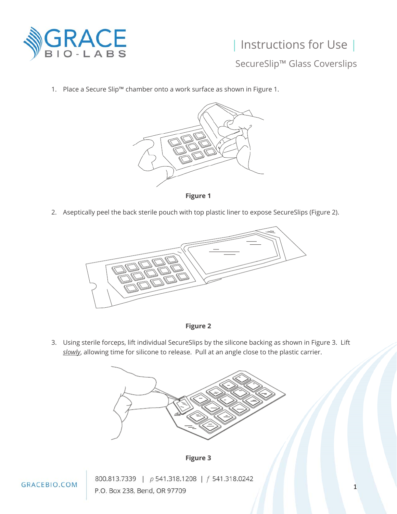

## | Instructions for Use |

SecureSlip™ Glass Coverslips

1. Place a Secure Slip™ chamber onto a work surface as shown in Figure 1.



**Figure 1** 

2. Aseptically peel the back sterile pouch with top plastic liner to expose SecureSlips (Figure 2).





3. Using sterile forceps, lift individual SecureSlips by the silicone backing as shown in Figure 3. Lift *slowly*, allowing time for silicone to release. Pull at an angle close to the plastic carrier.





800.813.7339 | p 541.318.1208 | f 541.318.0242 P.O. Box 238, Bend, OR 97709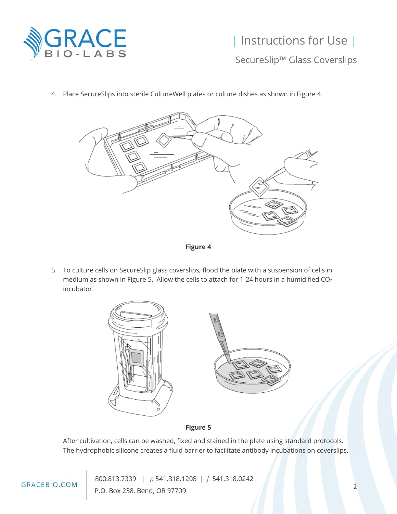

## | Instructions for Use |

SecureSlip™ Glass Coverslips



4. Place SecureSlips into sterile CultureWell plates or culture dishes as shown in Figure 4.

**Figure 4** 

5. To culture cells on SecureSlip glass coverslips, flood the plate with a suspension of cells in medium as shown in Figure 5. Allow the cells to attach for 1-24 hours in a humidified CO2 incubator.



## **Figure 5**

After cultivation, cells can be washed, fixed and stained in the plate using standard protocols. The hydrophobic silicone creates a fluid barrier to facilitate antibody incubations on coverslips.

800.813.7339 | p 541.318.1208 | f 541.318.0242 P.O. Box 238, Bend, OR 97709